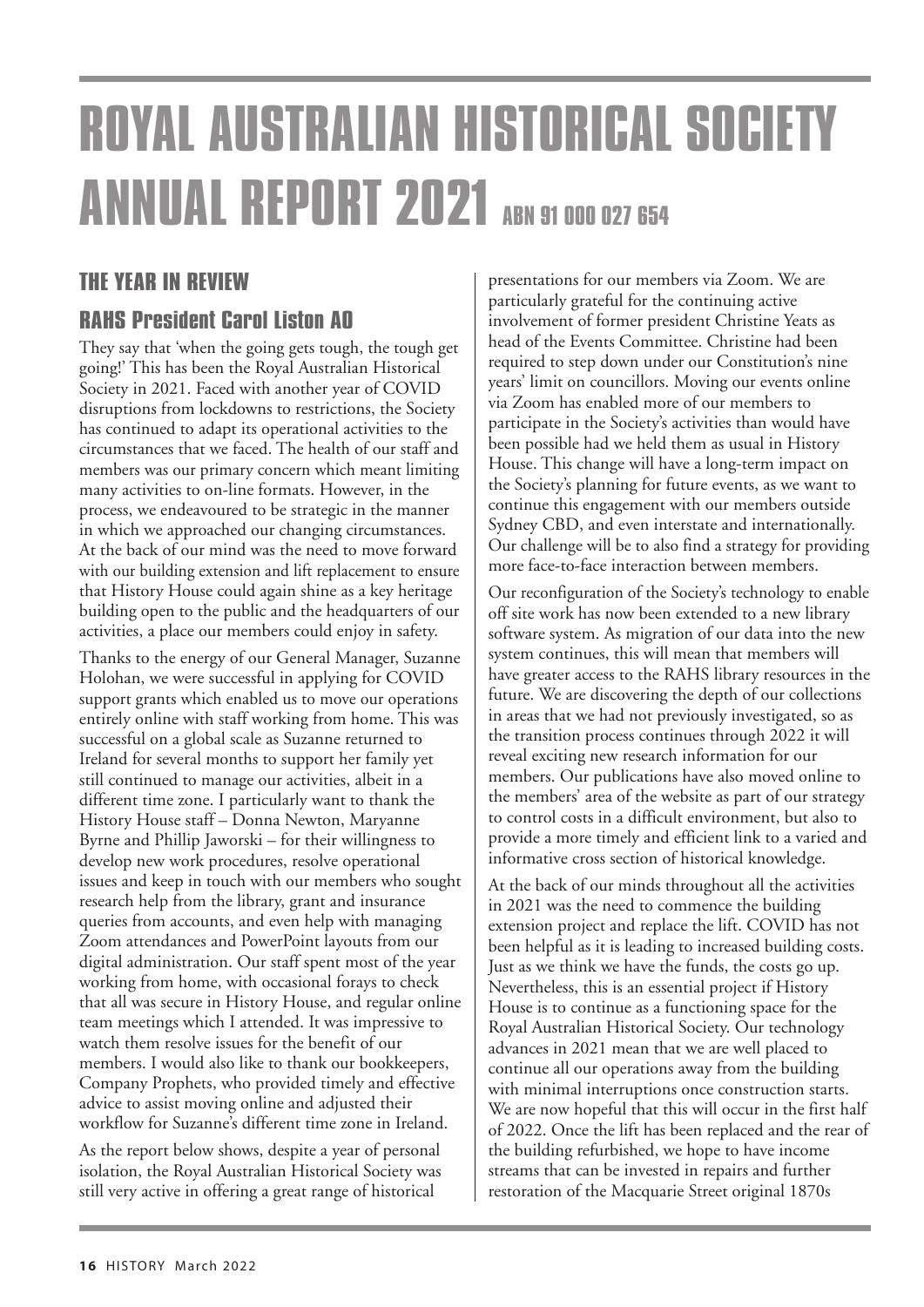# **ROYAL AUSTRALIAN HISTORICAL SOCIETY ANNUAL REPORT 2021** ABN 91 000 027 654

## THE YEAR IN REVIEW

## **RAHS President Carol Liston AO**

They say that 'when the going gets tough, the tough get going!' This has been the Royal Australian Historical Society in 2021. Faced with another year of COVID disruptions from lockdowns to restrictions, the Society has continued to adapt its operational activities to the circumstances that we faced. The health of our staff and members was our primary concern which meant limiting many activities to on-line formats. However, in the process, we endeavoured to be strategic in the manner in which we approached our changing circumstances. At the back of our mind was the need to move forward with our building extension and lift replacement to ensure that History House could again shine as a key heritage building open to the public and the headquarters of our activities, a place our members could enjoy in safety.

Thanks to the energy of our General Manager, Suzanne Holohan, we were successful in applying for COVID support grants which enabled us to move our operations entirely online with staff working from home. This was successful on a global scale as Suzanne returned to Ireland for several months to support her family yet still continued to manage our activities, albeit in a different time zone. I particularly want to thank the History House staff – Donna Newton, Maryanne Byrne and Phillip Jaworski – for their willingness to develop new work procedures, resolve operational issues and keep in touch with our members who sought research help from the library, grant and insurance queries from accounts, and even help with managing Zoom attendances and PowerPoint layouts from our digital administration. Our staff spent most of the year working from home, with occasional forays to check that all was secure in History House, and regular online team meetings which I attended. It was impressive to watch them resolve issues for the benefit of our members. I would also like to thank our bookkeepers, Company Prophets, who provided timely and effective advice to assist moving online and adjusted their workflow for Suzanne's different time zone in Ireland.

As the report below shows, despite a year of personal isolation, the Royal Australian Historical Society was still very active in offering a great range of historical

presentations for our members via Zoom. We are particularly grateful for the continuing active involvement of former president Christine Yeats as head of the Events Committee. Christine had been required to step down under our Constitution's nine years' limit on councillors. Moving our events online via Zoom has enabled more of our members to participate in the Society's activities than would have been possible had we held them as usual in History House. This change will have a long-term impact on the Society's planning for future events, as we want to continue this engagement with our members outside Sydney CBD, and even interstate and internationally. Our challenge will be to also find a strategy for providing more face-to-face interaction between members.

Our reconfiguration of the Society's technology to enable off site work has now been extended to a new library software system. As migration of our data into the new system continues, this will mean that members will have greater access to the RAHS library resources in the future. We are discovering the depth of our collections in areas that we had not previously investigated, so as the transition process continues through 2022 it will reveal exciting new research information for our members. Our publications have also moved online to the members' area of the website as part of our strategy to control costs in a difficult environment, but also to provide a more timely and efficient link to a varied and informative cross section of historical knowledge.

At the back of our minds throughout all the activities in 2021 was the need to commence the building extension project and replace the lift. COVID has not been helpful as it is leading to increased building costs. Just as we think we have the funds, the costs go up. Nevertheless, this is an essential project if History House is to continue as a functioning space for the Royal Australian Historical Society. Our technology advances in 2021 mean that we are well placed to continue all our operations away from the building with minimal interruptions once construction starts. We are now hopeful that this will occur in the first half of 2022. Once the lift has been replaced and the rear of the building refurbished, we hope to have income streams that can be invested in repairs and further restoration of the Macquarie Street original 1870s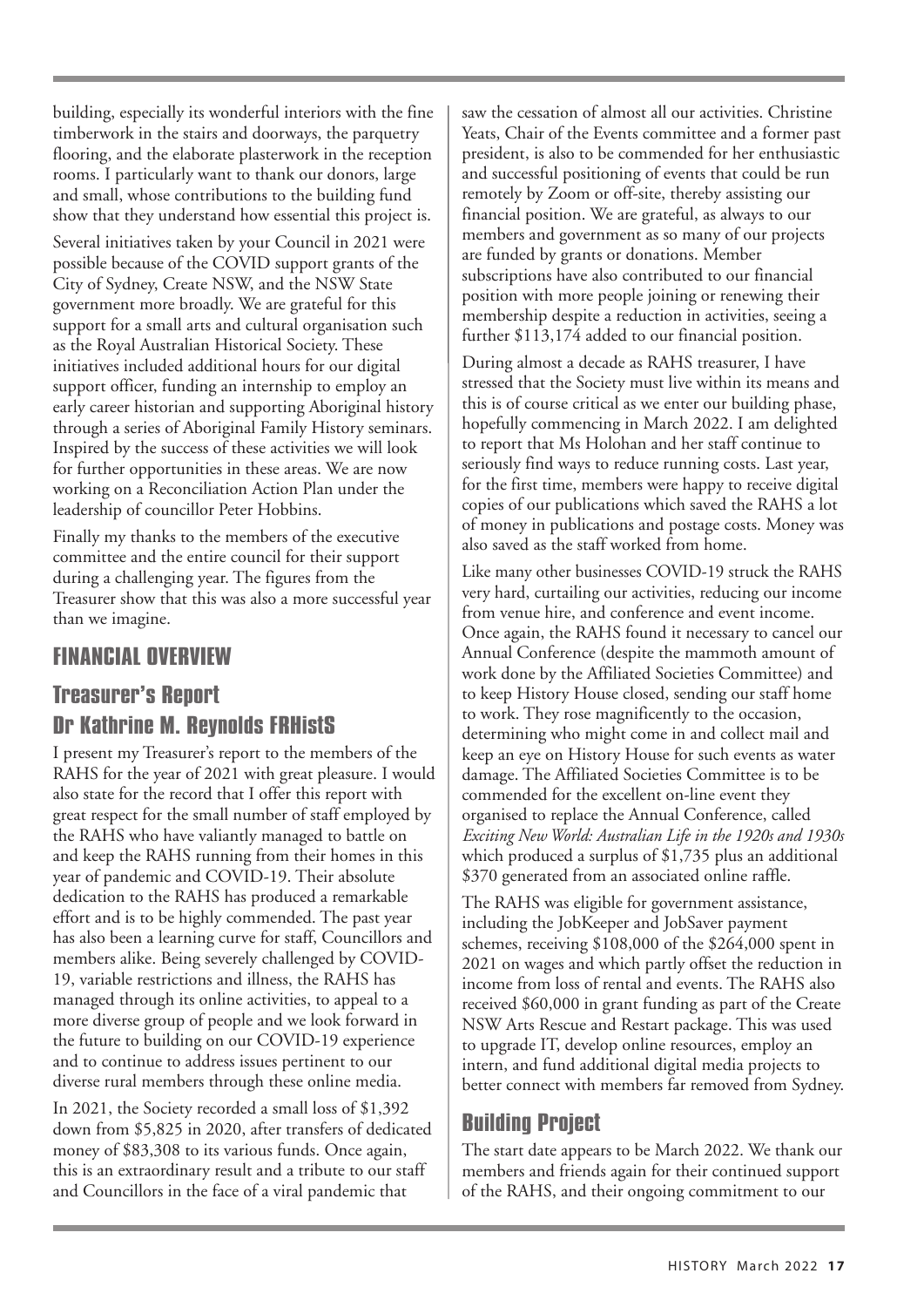building, especially its wonderful interiors with the fine timberwork in the stairs and doorways, the parquetry flooring, and the elaborate plasterwork in the reception rooms. I particularly want to thank our donors, large and small, whose contributions to the building fund show that they understand how essential this project is.

Several initiatives taken by your Council in 2021 were possible because of the COVID support grants of the City of Sydney, Create NSW, and the NSW State government more broadly. We are grateful for this support for a small arts and cultural organisation such as the Royal Australian Historical Society. These initiatives included additional hours for our digital support officer, funding an internship to employ an early career historian and supporting Aboriginal history through a series of Aboriginal Family History seminars. Inspired by the success of these activities we will look for further opportunities in these areas. We are now working on a Reconciliation Action Plan under the leadership of councillor Peter Hobbins.

Finally my thanks to the members of the executive committee and the entire council for their support during a challenging year. The figures from the Treasurer show that this was also a more successful year than we imagine.

## FINANCIALOVERVIEW

# **Treasurer's Report** DrKathrine M.Reynolds FRHistS

I present my Treasurer's report to the members of the RAHS for the year of 2021 with great pleasure. I would also state for the record that I offer this report with great respect for the small number of staff employed by the RAHS who have valiantly managed to battle on and keep the RAHS running from their homes in this year of pandemic and COVID-19. Their absolute dedication to the RAHS has produced a remarkable effort and is to be highly commended. The past year has also been a learning curve for staff, Councillors and members alike. Being severely challenged by COVID-19, variable restrictions and illness, the RAHS has managed through its online activities, to appeal to a more diverse group of people and we look forward in the future to building on our COVID-19 experience and to continue to address issues pertinent to our diverse rural members through these online media.

In 2021, the Society recorded a small loss of \$1,392 down from \$5,825 in 2020, after transfers of dedicated money of \$83,308 to its various funds. Once again, this is an extraordinary result and a tribute to our staff and Councillors in the face of a viral pandemic that

saw the cessation of almost all our activities. Christine Yeats, Chair of the Events committee and a former past president, is also to be commended for her enthusiastic and successful positioning of events that could be run remotely by Zoom or off-site, thereby assisting our financial position. We are grateful, as always to our members and government as so many of our projects are funded by grants or donations. Member subscriptions have also contributed to our financial position with more people joining or renewing their membership despite a reduction in activities, seeing a further \$113,174 added to our financial position.

During almost a decade as RAHS treasurer, I have stressed that the Society must live within its means and this is of course critical as we enter our building phase, hopefully commencing in March 2022. I am delighted to report that Ms Holohan and her staff continue to seriously find ways to reduce running costs. Last year, for the first time, members were happy to receive digital copies of our publications which saved the RAHS a lot of money in publications and postage costs. Money was also saved as the staff worked from home.

Like many other businesses COVID-19 struck the RAHS very hard, curtailing our activities, reducing our income from venue hire, and conference and event income. Once again, the RAHS found it necessary to cancel our Annual Conference (despite the mammoth amount of work done by the Affiliated Societies Committee) and to keep History House closed, sending our staff home to work. They rose magnificently to the occasion, determining who might come in and collect mail and keep an eye on History House for such events as water damage. The Affiliated Societies Committee is to be commended for the excellent on-line event they organised to replace the Annual Conference, called *Exciting New World: Australian Life in the 1920s and 1930s* which produced a surplus of \$1,735 plus an additional \$370 generated from an associated online raffle.

The RAHS was eligible for government assistance, including the JobKeeper and JobSaver payment schemes, receiving \$108,000 of the \$264,000 spent in 2021 on wages and which partly offset the reduction in income from loss of rental and events. The RAHS also received \$60,000 in grant funding as part of the Create NSW Arts Rescue and Restart package. This was used to upgrade IT, develop online resources, employ an intern, and fund additional digital media projects to better connect with members far removed from Sydney.

# **Building Project**

The start date appears to be March 2022. We thank our members and friends again for their continued support of the RAHS, and their ongoing commitment to our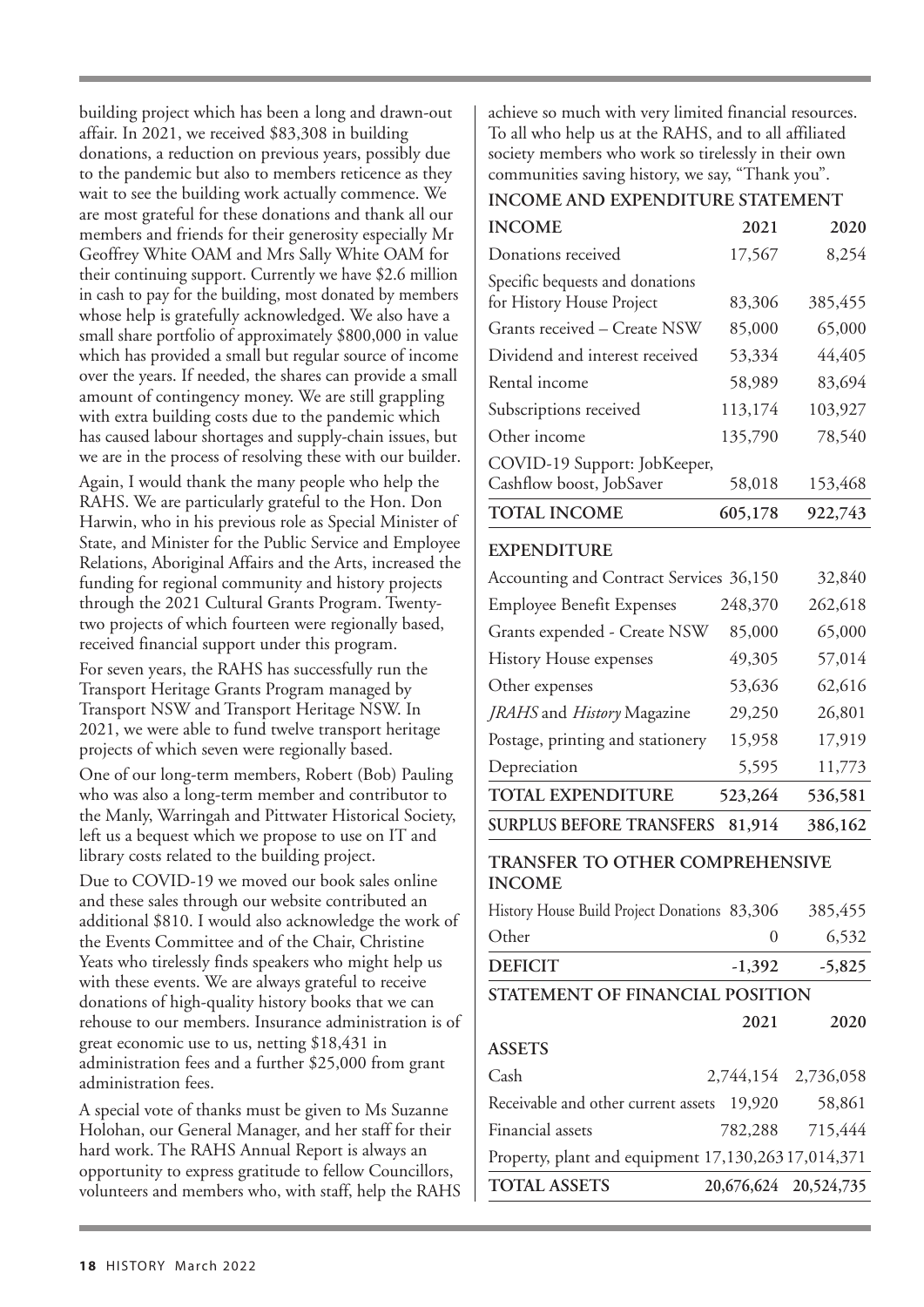building project which has been a long and drawn-out affair. In 2021, we received \$83,308 in building donations, a reduction on previous years, possibly due to the pandemic but also to members reticence as they wait to see the building work actually commence. We are most grateful for these donations and thank all our members and friends for their generosity especially Mr Geoffrey White OAM and Mrs Sally White OAM for their continuing support. Currently we have \$2.6 million in cash to pay for the building, most donated by members whose help is gratefully acknowledged. We also have a small share portfolio of approximately \$800,000 in value which has provided a small but regular source of income over the years. If needed, the shares can provide a small amount of contingency money. We are still grappling with extra building costs due to the pandemic which has caused labour shortages and supply-chain issues, but we are in the process of resolving these with our builder.

Again, I would thank the many people who help the RAHS. We are particularly grateful to the Hon. Don Harwin, who in his previous role as Special Minister of State, and Minister for the Public Service and Employee Relations, Aboriginal Affairs and the Arts, increased the funding for regional community and history projects through the 2021 Cultural Grants Program. Twentytwo projects of which fourteen were regionally based, received financial support under this program.

For seven years, the RAHS has successfully run the Transport Heritage Grants Program managed by Transport NSW and Transport Heritage NSW. In 2021, we were able to fund twelve transport heritage projects of which seven were regionally based.

One of our long-term members, Robert (Bob) Pauling who was also a long-term member and contributor to the Manly, Warringah and Pittwater Historical Society, left us a bequest which we propose to use on IT and library costs related to the building project.

Due to COVID-19 we moved our book sales online and these sales through our website contributed an additional \$810. I would also acknowledge the work of the Events Committee and of the Chair, Christine Yeats who tirelessly finds speakers who might help us with these events. We are always grateful to receive donations of high-quality history books that we can rehouse to our members. Insurance administration is of great economic use to us, netting \$18,431 in administration fees and a further \$25,000 from grant administration fees.

A special vote of thanks must be given to Ms Suzanne Holohan, our General Manager, and her staff for their hard work. The RAHS Annual Report is always an opportunity to express gratitude to fellow Councillors, volunteers and members who, with staff, help the RAHS

achieve so much with very limited financial resources. To all who help us at the RAHS, and to all affiliated society members who work so tirelessly in their own communities saving history, we say, "Thank you".

#### **INCOME AND EXPENDITURE STATEMENT**

| <b>INCOME</b>                                            | 2021             | 2020                |  |  |  |
|----------------------------------------------------------|------------------|---------------------|--|--|--|
| Donations received                                       | 17,567           | 8,254               |  |  |  |
| Specific bequests and donations                          |                  |                     |  |  |  |
| for History House Project                                | 83,306           | 385,455             |  |  |  |
| Grants received - Create NSW                             | 85,000           | 65,000              |  |  |  |
| Dividend and interest received                           | 53,334           | 44,405              |  |  |  |
| Rental income                                            | 58,989           | 83,694              |  |  |  |
| Subscriptions received                                   | 113,174          | 103,927             |  |  |  |
| Other income                                             | 135,790          | 78,540              |  |  |  |
| COVID-19 Support: JobKeeper,<br>Cashflow boost, JobSaver | 58,018           | 153,468             |  |  |  |
| <b>TOTAL INCOME</b>                                      | 605,178          | 922,743             |  |  |  |
| <b>EXPENDITURE</b>                                       |                  |                     |  |  |  |
| Accounting and Contract Services 36,150                  |                  | 32,840              |  |  |  |
| <b>Employee Benefit Expenses</b>                         | 248,370          | 262,618             |  |  |  |
| Grants expended - Create NSW                             | 85,000           | 65,000              |  |  |  |
| <b>History House expenses</b>                            | 49,305           | 57,014              |  |  |  |
| Other expenses                                           | 53,636           | 62,616              |  |  |  |
| JRAHS and History Magazine                               | 29,250           | 26,801              |  |  |  |
| Postage, printing and stationery                         | 15,958           | 17,919              |  |  |  |
| Depreciation                                             | 5,595            | 11,773              |  |  |  |
| <b>TOTAL EXPENDITURE</b>                                 | 523,264          | 536,581             |  |  |  |
| <b>SURPLUS BEFORE TRANSFERS</b>                          | 81,914           | 386,162             |  |  |  |
| TRANSFER TO OTHER COMPREHENSIVE<br><b>INCOME</b>         |                  |                     |  |  |  |
| History House Build Project Donations 83,306             |                  | 385,455             |  |  |  |
| Other                                                    | $\boldsymbol{0}$ | 6,532               |  |  |  |
| <b>DEFICIT</b>                                           | $-1,392$         | $-5,825$            |  |  |  |
| STATEMENT OF FINANCIAL POSITION                          |                  |                     |  |  |  |
|                                                          | 2021             | 2020                |  |  |  |
| <b>ASSETS</b>                                            |                  |                     |  |  |  |
| Cash                                                     |                  | 2,744,154 2,736,058 |  |  |  |
| Receivable and other current assets 19,920               |                  | 58,861              |  |  |  |
| Financial assets                                         | 782,288          | 715,444             |  |  |  |
| Property, plant and equipment 17,130,26317,014,371       |                  |                     |  |  |  |

**TOTAL ASSETS 20,676,624 20,524,735**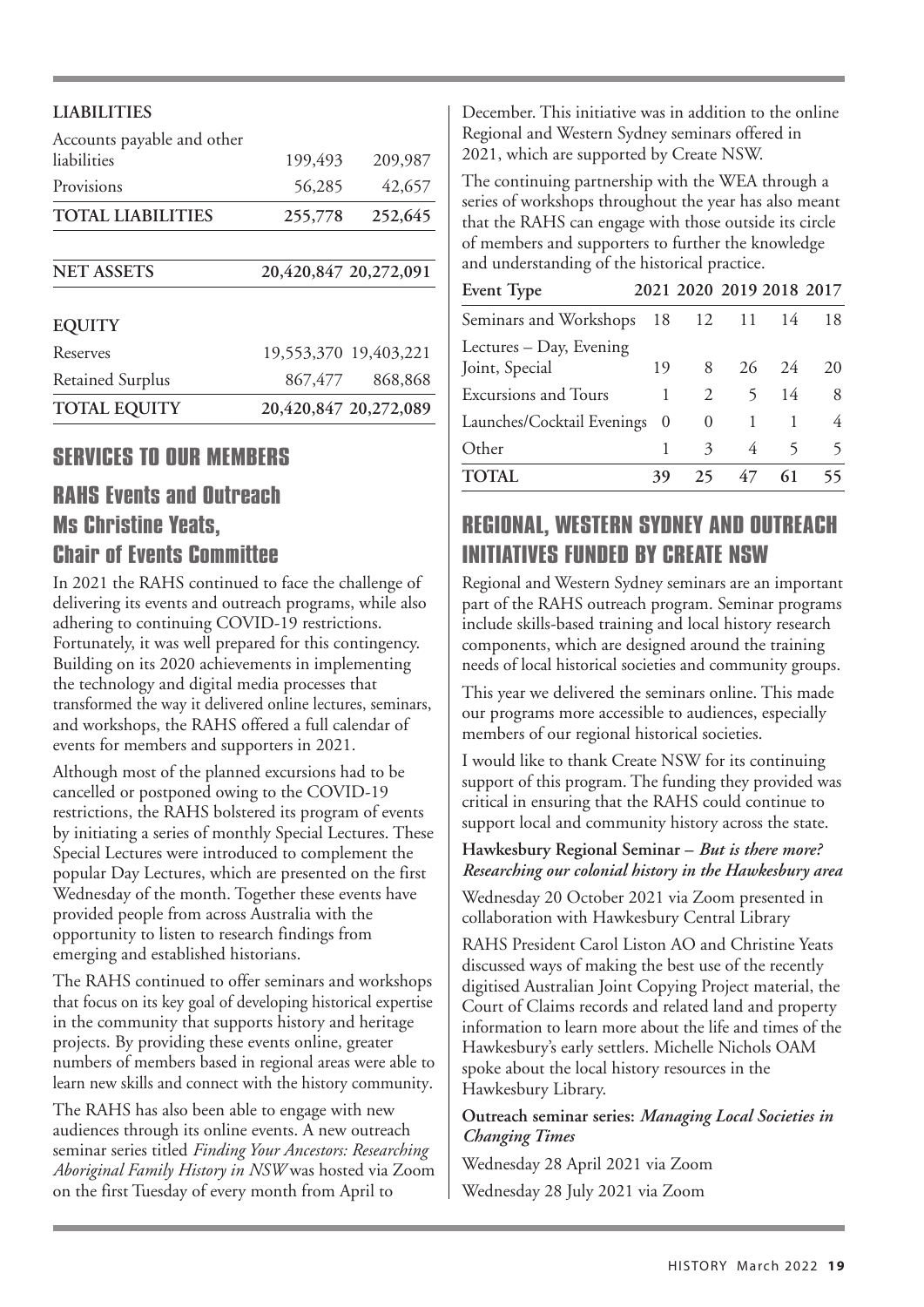| <b>LIABILITIES</b>                        |                       |                       |
|-------------------------------------------|-----------------------|-----------------------|
| Accounts payable and other<br>liabilities | 199,493               | 209,987               |
| Provisions                                | 56,285                | 42,657                |
| <b>TOTAL LIABILITIES</b>                  | 255,778               | 252,645               |
|                                           |                       |                       |
| <b>NET ASSETS</b>                         | 20,420,847 20,272,091 |                       |
| <b>EQUITY</b>                             |                       |                       |
| Reserves                                  |                       | 19,553,370 19,403,221 |
| <b>Retained Surplus</b>                   | 867,477               | 868,868               |
| <b>TOTAL EQUITY</b>                       |                       | 20,420,847 20,272,089 |

## **SERVICES TO OUR MEMBERS**

# **RAHS Events and Outreach Ms Christine Yeats. Chair of Events Committee**

In 2021 the RAHS continued to face the challenge of delivering its events and outreach programs, while also adhering to continuing COVID-19 restrictions. Fortunately, it was well prepared for this contingency. Building on its 2020 achievements in implementing the technology and digital media processes that transformed the way it delivered online lectures, seminars, and workshops, the RAHS offered a full calendar of events for members and supporters in 2021.

Although most of the planned excursions had to be cancelled or postponed owing to the COVID-19 restrictions, the RAHS bolstered its program of events by initiating a series of monthly Special Lectures. These Special Lectures were introduced to complement the popular Day Lectures, which are presented on the first Wednesday of the month. Together these events have provided people from across Australia with the opportunity to listen to research findings from emerging and established historians.

The RAHS continued to offer seminars and workshops that focus on its key goal of developing historical expertise in the community that supports history and heritage projects. By providing these events online, greater numbers of members based in regional areas were able to learn new skills and connect with the history community.

The RAHS has also been able to engage with new audiences through its online events. A new outreach seminar series titled *Finding Your Ancestors: Researching Aboriginal Family History in NSW* was hosted via Zoom on the first Tuesday of every month from April to

December. This initiative was in addition to the online Regional and Western Sydney seminars offered in 2021, which are supported by Create NSW.

The continuing partnership with the WEA through a series of workshops throughout the year has also meant that the RAHS can engage with those outside its circle of members and supporters to further the knowledge and understanding of the historical practice.

| Event Type                                |    | 2021 2020 2019 2018 2017 |    |                   |    |
|-------------------------------------------|----|--------------------------|----|-------------------|----|
| Seminars and Workshops                    |    | 18 12 11 14              |    |                   | 18 |
| Lectures - Day, Evening<br>Joint, Special | 19 | 8                        |    | $26 \quad 24$     | 20 |
| <b>Excursions and Tours</b>               | 1  | $\mathcal{L}$            |    | $5^{\circ}$<br>14 | 8  |
| Launches/Cocktail Evenings 0              |    | $\theta$                 |    |                   | 4  |
| Other                                     |    | $\mathcal{Z}$            | 4  | 5                 | 5  |
| TOTAL                                     | 39 | 25                       | 47 | 61                |    |

# REGIONAL, WESTERNSYDNEYANDOUTREACH INITIATIVES FIINDED BY CREATE NSW

Regional and Western Sydney seminars are an important part of the RAHS outreach program. Seminar programs include skills-based training and local history research components, which are designed around the training needs of local historical societies and community groups.

This year we delivered the seminars online. This made our programs more accessible to audiences, especially members of our regional historical societies.

I would like to thank Create NSW for its continuing support of this program. The funding they provided was critical in ensuring that the RAHS could continue to support local and community history across the state.

#### **Hawkesbury Regional Seminar –** *But is there more? Researching our colonial history in the Hawkesbury area*

Wednesday 20 October 2021 via Zoom presented in collaboration with Hawkesbury Central Library

RAHS President Carol Liston AO and Christine Yeats discussed ways of making the best use of the recently digitised Australian Joint Copying Project material, the Court of Claims records and related land and property information to learn more about the life and times of the Hawkesbury's early settlers. Michelle Nichols OAM spoke about the local history resources in the Hawkesbury Library.

#### **Outreach seminar series:** *Managing Local Societies in Changing Times*

Wednesday 28 April 2021 via Zoom Wednesday 28 July 2021 via Zoom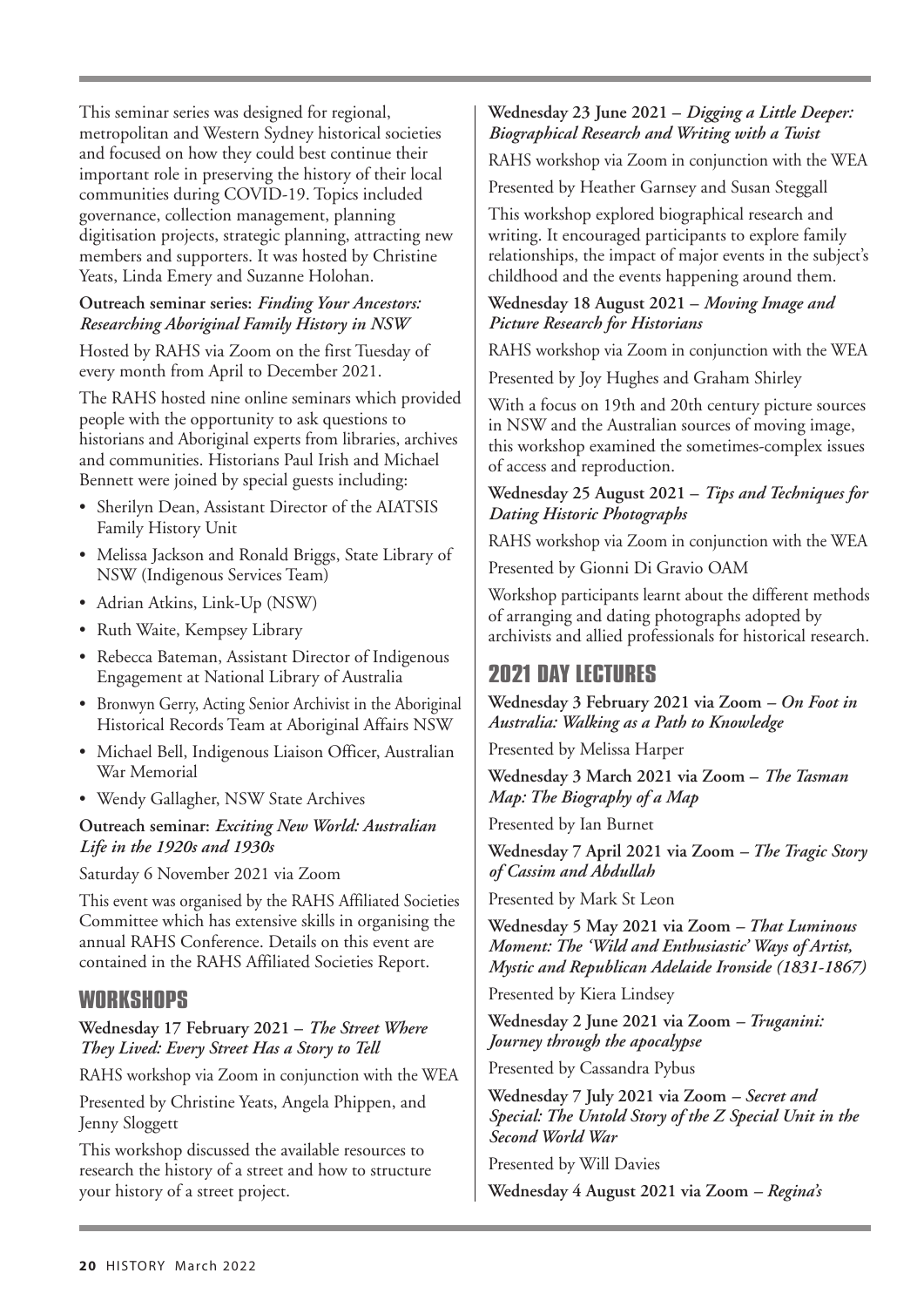This seminar series was designed for regional, metropolitan and Western Sydney historical societies and focused on how they could best continue their important role in preserving the history of their local communities during COVID-19. Topics included governance, collection management, planning digitisation projects, strategic planning, attracting new members and supporters. It was hosted by Christine Yeats, Linda Emery and Suzanne Holohan.

#### **Outreach seminar series:** *Finding Your Ancestors: Researching Aboriginal Family History in NSW*

Hosted by RAHS via Zoom on the first Tuesday of every month from April to December 2021.

The RAHS hosted nine online seminars which provided people with the opportunity to ask questions to historians and Aboriginal experts from libraries, archives and communities. Historians Paul Irish and Michael Bennett were joined by special guests including:

- Sherilyn Dean, Assistant Director of the AIATSIS Family History Unit
- Melissa Jackson and Ronald Briggs, State Library of NSW (Indigenous Services Team)
- Adrian Atkins, Link-Up (NSW)
- Ruth Waite, Kempsey Library
- Rebecca Bateman, Assistant Director of Indigenous Engagement at National Library of Australia
- Bronwyn Gerry, Acting Senior Archivist in the Aboriginal Historical Records Team at Aboriginal Affairs NSW
- Michael Bell, Indigenous Liaison Officer, Australian War Memorial
- Wendy Gallagher, NSW State Archives

#### **Outreach seminar:** *Exciting New World: Australian Life in the 1920s and 1930s*

Saturday 6 November 2021 via Zoom

This event was organised by the RAHS Affiliated Societies Committee which has extensive skills in organising the annual RAHS Conference. Details on this event are contained in the RAHS Affiliated Societies Report.

## WORKSHOPS

**Wednesday 17 February 2021 –** *The Street Where They Lived: Every Street Has a Story to Tell*

RAHS workshop via Zoom in conjunction with the WEA

Presented by Christine Yeats, Angela Phippen, and Jenny Sloggett

This workshop discussed the available resources to research the history of a street and how to structure your history of a street project.

#### **Wednesday 23 June 2021 –** *Digging a Little Deeper: Biographical Research and Writing with a Twist*

RAHS workshop via Zoom in conjunction with the WEA

Presented by Heather Garnsey and Susan Steggall

This workshop explored biographical research and writing. It encouraged participants to explore family relationships, the impact of major events in the subject's childhood and the events happening around them.

#### **Wednesday 18 August 2021 –** *Moving Image and Picture Research for Historians*

RAHS workshop via Zoom in conjunction with the WEA

Presented by Joy Hughes and Graham Shirley

With a focus on 19th and 20th century picture sources in NSW and the Australian sources of moving image, this workshop examined the sometimes-complex issues of access and reproduction.

#### **Wednesday 25 August 2021 –** *Tips and Techniques for Dating Historic Photographs*

RAHS workshop via Zoom in conjunction with the WEA

Presented by Gionni Di Gravio OAM

Workshop participants learnt about the different methods of arranging and dating photographs adopted by archivists and allied professionals for historical research.

## **2021 DAY LECTURES**

**Wednesday 3 February 2021 via Zoom** *– On Foot in Australia: Walking as a Path to Knowledge*

Presented by Melissa Harper

**Wednesday 3 March 2021 via Zoom –** *The Tasman Map: The Biography of a Map*

Presented by Ian Burnet

**Wednesday 7 April 2021 via Zoom** *– The Tragic Story of Cassim and Abdullah*

Presented by Mark St Leon

**Wednesday 5 May 2021 via Zoom** *– That Luminous Moment: The 'Wild and Enthusiastic' Ways of Artist, Mystic and Republican Adelaide Ironside (1831-1867)*

Presented by Kiera Lindsey

**Wednesday 2 June 2021 via Zoom** *– Truganini: Journey through the apocalypse*

Presented by Cassandra Pybus

**Wednesday 7 July 2021 via Zoom** *– Secret and Special: The Untold Story of the Z Special Unit in the Second World War*

Presented by Will Davies

**Wednesday 4 August 2021 via Zoom** *– Regina's*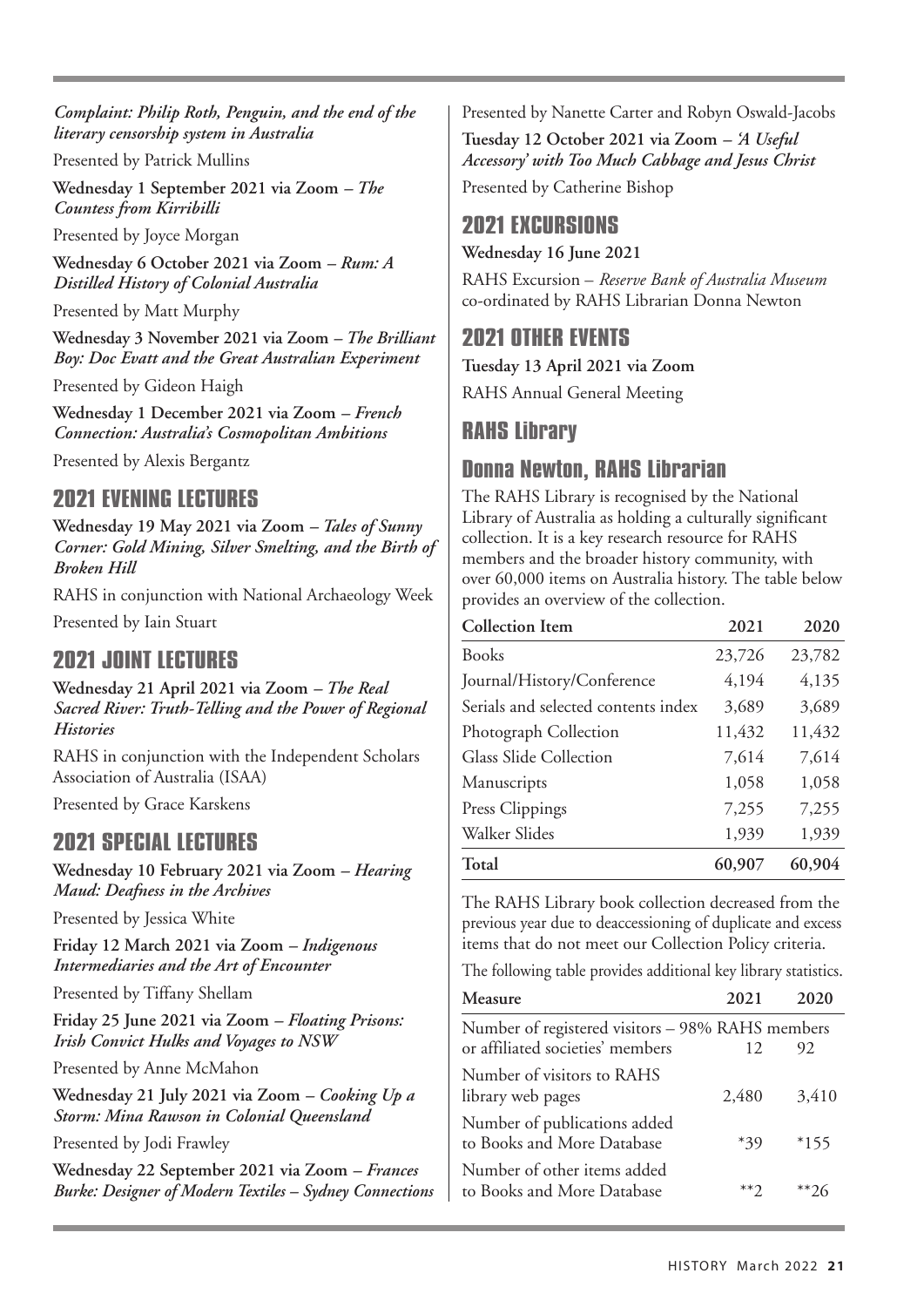*Complaint: Philip Roth, Penguin, and the end of the literary censorship system in Australia*

Presented by Patrick Mullins

**Wednesday 1 September 2021 via Zoom** *– The Countess from Kirribilli*

Presented by Joyce Morgan

**Wednesday 6 October 2021 via Zoom** *– Rum: A Distilled History of Colonial Australia*

Presented by Matt Murphy

**Wednesday 3 November 2021 via Zoom** *– The Brilliant Boy: Doc Evatt and the Great Australian Experiment*

Presented by Gideon Haigh

**Wednesday 1 December 2021 via Zoom** *– French Connection: Australia's Cosmopolitan Ambitions*

Presented by Alexis Bergantz

## **2021 EVENING LECTURES**

**Wednesday 19 May 2021 via Zoom** *– Tales of Sunny Corner: Gold Mining, Silver Smelting, and the Birth of Broken Hill*

RAHS in conjunction with National Archaeology Week Presented by Iain Stuart

## 2021 JOINT LECTURES

**Wednesday 21 April 2021 via Zoom** *– The Real Sacred River: Truth-Telling and the Power of Regional Histories*

RAHS in conjunction with the Independent Scholars Association of Australia (ISAA)

Presented by Grace Karskens

## 2021SPECIAL LECTURES

**Wednesday 10 February 2021 via Zoom** *– Hearing Maud: Deafness in the Archives*

Presented by Jessica White

**Friday 12 March 2021 via Zoom** *– Indigenous Intermediaries and the Art of Encounter*

Presented by Tiffany Shellam

**Friday 25 June 2021 via Zoom** *– Floating Prisons: Irish Convict Hulks and Voyages to NSW*

Presented by Anne McMahon

**Wednesday 21 July 2021 via Zoom** *– Cooking Up a Storm: Mina Rawson in Colonial Queensland*

Presented by Jodi Frawley

**Wednesday 22 September 2021 via Zoom** *– Frances Burke: Designer of Modern Textiles – Sydney Connections* Presented by Nanette Carter and Robyn Oswald-Jacobs

**Tuesday 12 October 2021 via Zoom** *– 'A Useful Accessory' with Too Much Cabbage and Jesus Christ*

Presented by Catherine Bishop

## 2021 EXCURSIONS

**Wednesday 16 June 2021**

RAHS Excursion – *Reserve Bank of Australia Museum* co-ordinated by RAHS Librarian Donna Newton

## **2021 OTHER EVENTS**

**Tuesday 13 April 2021 via Zoom**

RAHS Annual General Meeting

## **RAHS Library**

## **Donna Newton, RAHS Librarian**

The RAHS Library is recognised by the National Library of Australia as holding a culturally significant collection. It is a key research resource for RAHS members and the broader history community, with over 60,000 items on Australia history. The table below provides an overview of the collection.

| <b>Collection Item</b>              | 2021   | 2020   |
|-------------------------------------|--------|--------|
| <b>Books</b>                        | 23,726 | 23,782 |
| Journal/History/Conference          | 4,194  | 4,135  |
| Serials and selected contents index | 3,689  | 3,689  |
| Photograph Collection               | 11,432 | 11,432 |
| Glass Slide Collection              | 7,614  | 7,614  |
| Manuscripts                         | 1,058  | 1,058  |
| Press Clippings                     | 7,255  | 7,255  |
| Walker Slides                       | 1,939  | 1,939  |
| <b>Total</b>                        | 60,907 | 60,904 |

The RAHS Library book collection decreased from the previous year due to deaccessioning of duplicate and excess items that do not meet our Collection Policy criteria.

The following table provides additional key library statistics.

| Measure                                                                              | 2021       | 2020   |
|--------------------------------------------------------------------------------------|------------|--------|
| Number of registered visitors - 98% RAHS members<br>or affiliated societies' members | 12         | 92     |
| Number of visitors to RAHS<br>library web pages                                      | 2,480      | 3,410  |
| Number of publications added<br>to Books and More Database                           | $*39$      | $*155$ |
| Number of other items added<br>to Books and More Database                            | $**\gamma$ | **26   |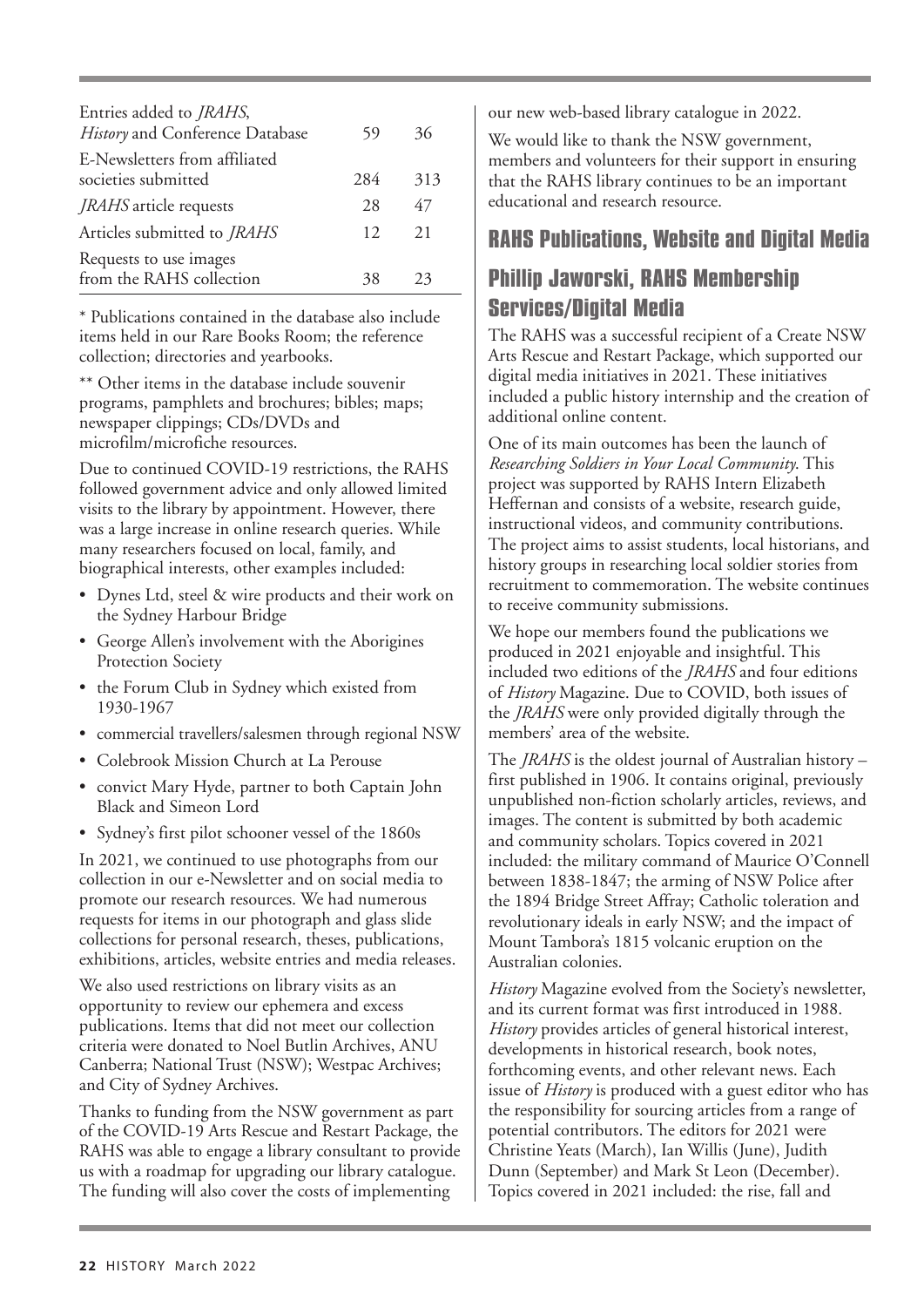| Entries added to <i>JRAHS</i> ,<br>History and Conference Database | 59  | 36  |
|--------------------------------------------------------------------|-----|-----|
| E-Newsletters from affiliated<br>societies submitted               | 284 | 313 |
| <i>JRAHS</i> article requests                                      | 28  | 47  |
| Articles submitted to <i>JRAHS</i>                                 | 12  | 2.1 |
| Requests to use images<br>from the RAHS collection                 |     | 23  |

\* Publications contained in the database also include items held in our Rare Books Room; the reference collection; directories and yearbooks.

\*\* Other items in the database include souvenir programs, pamphlets and brochures; bibles; maps; newspaper clippings; CDs/DVDs and microfilm/microfiche resources.

Due to continued COVID-19 restrictions, the RAHS followed government advice and only allowed limited visits to the library by appointment. However, there was a large increase in online research queries. While many researchers focused on local, family, and biographical interests, other examples included:

- Dynes Ltd, steel & wire products and their work on the Sydney Harbour Bridge
- George Allen's involvement with the Aborigines Protection Society
- the Forum Club in Sydney which existed from 1930-1967
- commercial travellers/salesmen through regional NSW
- Colebrook Mission Church at La Perouse
- convict Mary Hyde, partner to both Captain John Black and Simeon Lord
- Sydney's first pilot schooner vessel of the 1860s

In 2021, we continued to use photographs from our collection in our e-Newsletter and on social media to promote our research resources. We had numerous requests for items in our photograph and glass slide collections for personal research, theses, publications, exhibitions, articles, website entries and media releases.

We also used restrictions on library visits as an opportunity to review our ephemera and excess publications. Items that did not meet our collection criteria were donated to Noel Butlin Archives, ANU Canberra; National Trust (NSW); Westpac Archives; and City of Sydney Archives.

Thanks to funding from the NSW government as part of the COVID-19 Arts Rescue and Restart Package, the RAHS was able to engage a library consultant to provide us with a roadmap for upgrading our library catalogue. The funding will also cover the costs of implementing

our new web-based library catalogue in 2022.

We would like to thank the NSW government, members and volunteers for their support in ensuring that the RAHS library continues to be an important educational and research resource.

## **RAHS Publications, Website and Digital Media**

# **Phillip Jaworski, RAHS Membership** Services/Digital Media

The RAHS was a successful recipient of a Create NSW Arts Rescue and Restart Package, which supported our digital media initiatives in 2021. These initiatives included a public history internship and the creation of additional online content.

One of its main outcomes has been the launch of *Researching Soldiers in Your Local Community*. This project was supported by RAHS Intern Elizabeth Heffernan and consists of a website, research guide, instructional videos, and community contributions. The project aims to assist students, local historians, and history groups in researching local soldier stories from recruitment to commemoration. The website continues to receive community submissions.

We hope our members found the publications we produced in 2021 enjoyable and insightful. This included two editions of the *JRAHS* and four editions of *History* Magazine. Due to COVID, both issues of the *JRAHS* were only provided digitally through the members' area of the website.

The *JRAHS* is the oldest journal of Australian history – first published in 1906. It contains original, previously unpublished non-fiction scholarly articles, reviews, and images. The content is submitted by both academic and community scholars. Topics covered in 2021 included: the military command of Maurice O'Connell between 1838-1847; the arming of NSW Police after the 1894 Bridge Street Affray; Catholic toleration and revolutionary ideals in early NSW; and the impact of Mount Tambora's 1815 volcanic eruption on the Australian colonies.

*History* Magazine evolved from the Society's newsletter, and its current format was first introduced in 1988. *History* provides articles of general historical interest, developments in historical research, book notes, forthcoming events, and other relevant news. Each issue of *History* is produced with a guest editor who has the responsibility for sourcing articles from a range of potential contributors. The editors for 2021 were Christine Yeats (March), Ian Willis (June), Judith Dunn (September) and Mark St Leon (December). Topics covered in 2021 included: the rise, fall and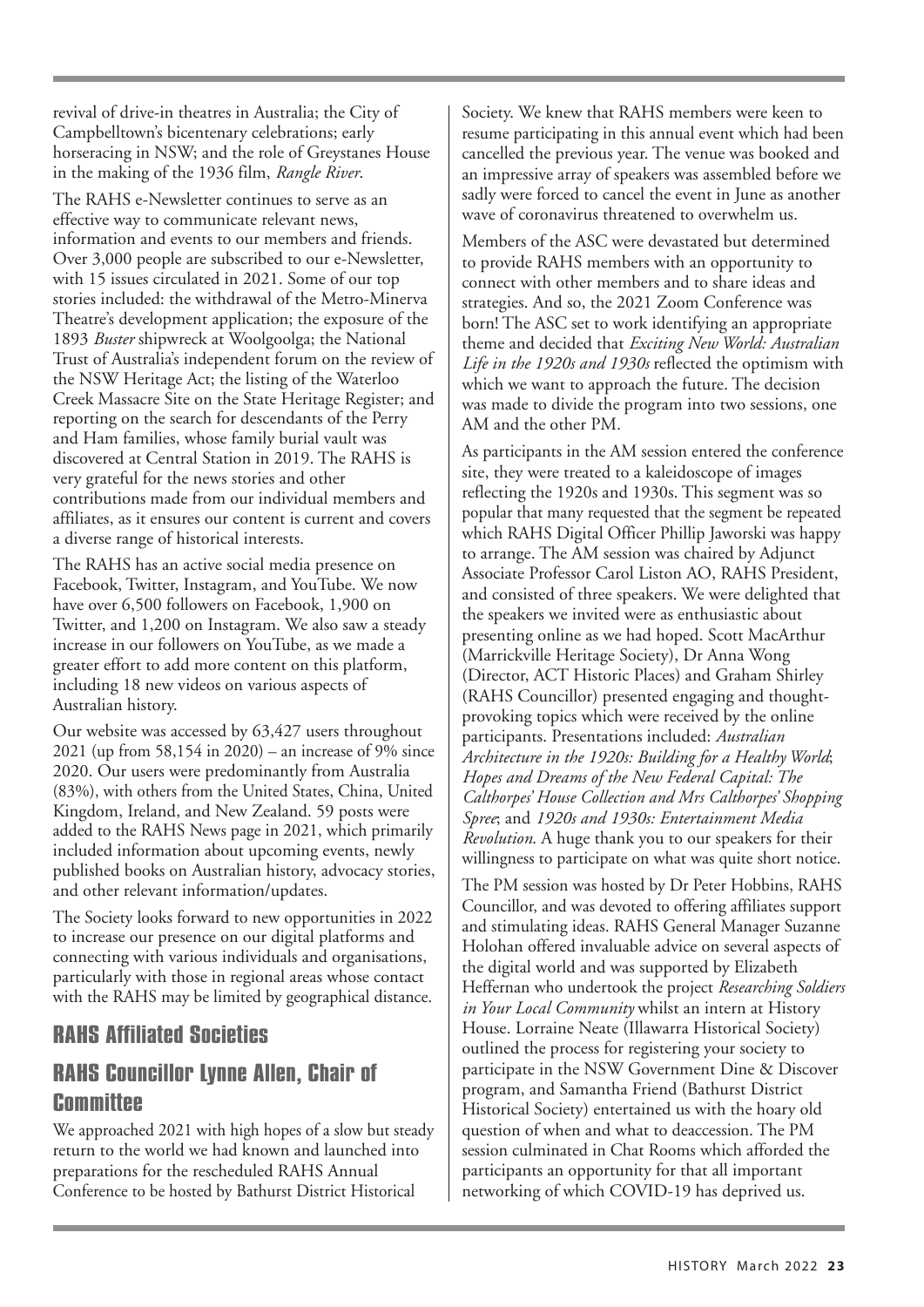revival of drive-in theatres in Australia; the City of Campbelltown's bicentenary celebrations; early horseracing in NSW; and the role of Greystanes House in the making of the 1936 film, *Rangle River*.

The RAHS e-Newsletter continues to serve as an effective way to communicate relevant news, information and events to our members and friends. Over 3,000 people are subscribed to our e-Newsletter, with 15 issues circulated in 2021. Some of our top stories included: the withdrawal of the Metro-Minerva Theatre's development application; the exposure of the 1893 *Buster* shipwreck at Woolgoolga; the National Trust of Australia's independent forum on the review of the NSW Heritage Act; the listing of the Waterloo Creek Massacre Site on the State Heritage Register; and reporting on the search for descendants of the Perry and Ham families, whose family burial vault was discovered at Central Station in 2019. The RAHS is very grateful for the news stories and other contributions made from our individual members and affiliates, as it ensures our content is current and covers a diverse range of historical interests.

The RAHS has an active social media presence on Facebook, Twitter, Instagram, and YouTube. We now have over 6,500 followers on Facebook, 1,900 on Twitter, and 1,200 on Instagram. We also saw a steady increase in our followers on YouTube, as we made a greater effort to add more content on this platform, including 18 new videos on various aspects of Australian history.

Our website was accessed by 63,427 users throughout 2021 (up from 58,154 in 2020) – an increase of 9% since 2020. Our users were predominantly from Australia (83%), with others from the United States, China, United Kingdom, Ireland, and New Zealand. 59 posts were added to the RAHS News page in 2021, which primarily included information about upcoming events, newly published books on Australian history, advocacy stories, and other relevant information/updates.

The Society looks forward to new opportunities in 2022 to increase our presence on our digital platforms and connecting with various individuals and organisations, particularly with those in regional areas whose contact with the RAHS may be limited by geographical distance.

## **RAHS Affiliated Societies**

## RAHS Councillor Lynne Allen, Chair of Committee

We approached 2021 with high hopes of a slow but steady return to the world we had known and launched into preparations for the rescheduled RAHS Annual Conference to be hosted by Bathurst District Historical

Society. We knew that RAHS members were keen to resume participating in this annual event which had been cancelled the previous year. The venue was booked and an impressive array of speakers was assembled before we sadly were forced to cancel the event in June as another wave of coronavirus threatened to overwhelm us.

Members of the ASC were devastated but determined to provide RAHS members with an opportunity to connect with other members and to share ideas and strategies. And so, the 2021 Zoom Conference was born! The ASC set to work identifying an appropriate theme and decided that *Exciting New World: Australian Life in the 1920s and 1930s* reflected the optimism with which we want to approach the future. The decision was made to divide the program into two sessions, one AM and the other PM.

As participants in the AM session entered the conference site, they were treated to a kaleidoscope of images reflecting the 1920s and 1930s. This segment was so popular that many requested that the segment be repeated which RAHS Digital Officer Phillip Jaworski was happy to arrange. The AM session was chaired by Adjunct Associate Professor Carol Liston AO, RAHS President, and consisted of three speakers. We were delighted that the speakers we invited were as enthusiastic about presenting online as we had hoped. Scott MacArthur (Marrickville Heritage Society), Dr Anna Wong (Director, ACT Historic Places) and Graham Shirley (RAHS Councillor) presented engaging and thoughtprovoking topics which were received by the online participants. Presentations included: *Australian Architecture in the 1920s: Building for a Healthy World*; *Hopes and Dreams of the New Federal Capital: The Calthorpes' House Collection and Mrs Calthorpes' Shopping Spree*; and *1920s and 1930s: Entertainment Media Revolution*. A huge thank you to our speakers for their willingness to participate on what was quite short notice.

The PM session was hosted by Dr Peter Hobbins, RAHS Councillor, and was devoted to offering affiliates support and stimulating ideas. RAHS General Manager Suzanne Holohan offered invaluable advice on several aspects of the digital world and was supported by Elizabeth Heffernan who undertook the project *Researching Soldiers in Your Local Community* whilst an intern at History House. Lorraine Neate (Illawarra Historical Society) outlined the process for registering your society to participate in the NSW Government Dine & Discover program, and Samantha Friend (Bathurst District Historical Society) entertained us with the hoary old question of when and what to deaccession. The PM session culminated in Chat Rooms which afforded the participants an opportunity for that all important networking of which COVID-19 has deprived us.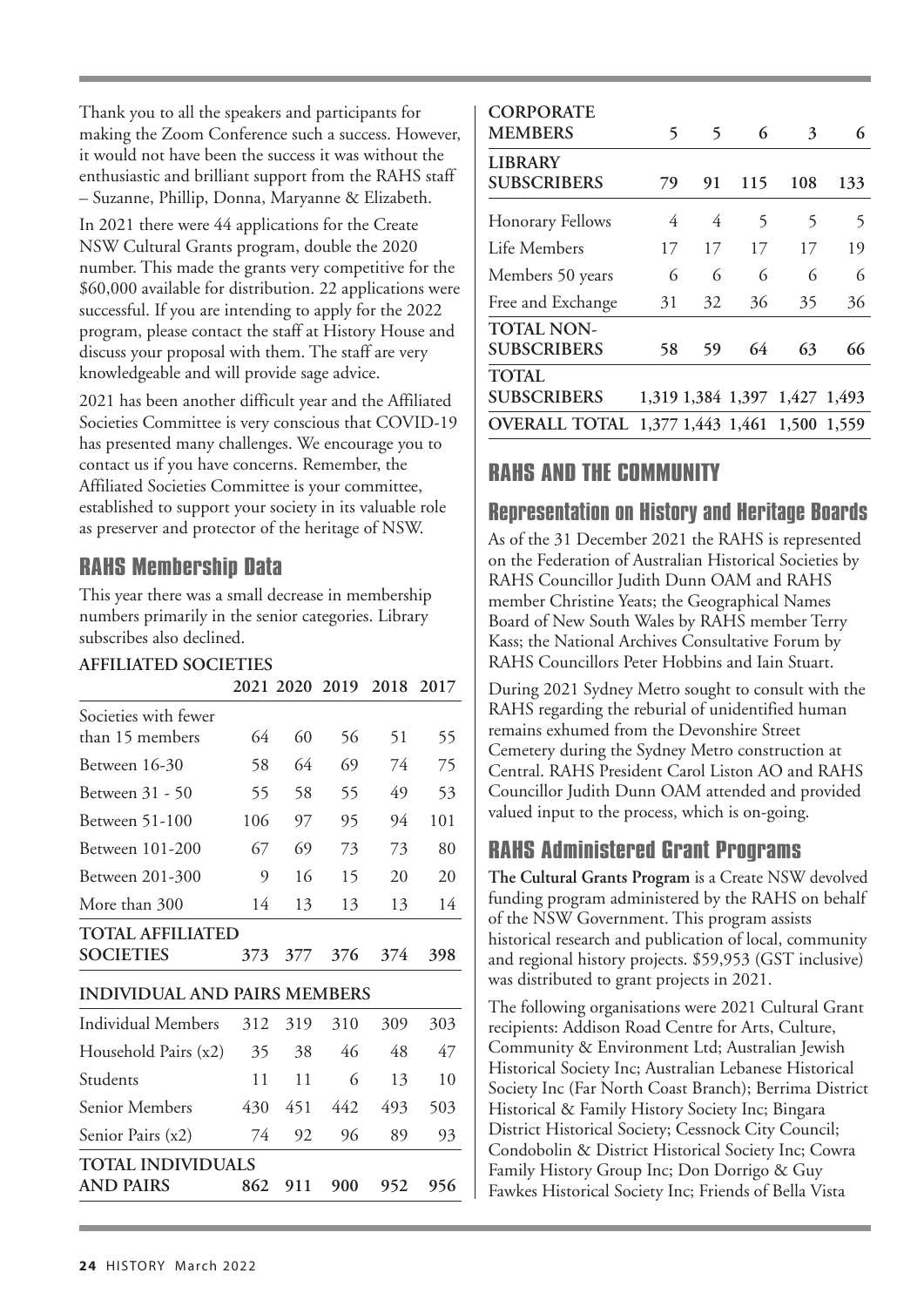Thank you to all the speakers and participants for making the Zoom Conference such a success. However, it would not have been the success it was without the enthusiastic and brilliant support from the RAHS staff – Suzanne, Phillip, Donna, Maryanne & Elizabeth.

In 2021 there were 44 applications for the Create NSW Cultural Grants program, double the 2020 number. This made the grants very competitive for the \$60,000 available for distribution. 22 applications were successful. If you are intending to apply for the 2022 program, please contact the staff at History House and discuss your proposal with them. The staff are very knowledgeable and will provide sage advice.

2021 has been another difficult year and the Affiliated Societies Committee is very conscious that COVID-19 has presented many challenges. We encourage you to contact us if you have concerns. Remember, the Affiliated Societies Committee is your committee, established to support your society in its valuable role as preserver and protector of the heritage of NSW.

## **RAHS Membership Data**

This year there was a small decrease in membership numbers primarily in the senior categories. Library subscribes also declined.

### **AFFILIATED SOCIETIES**

|                                     |     |     |     | 2021 2020 2019 2018 2017 |     |
|-------------------------------------|-----|-----|-----|--------------------------|-----|
| Societies with fewer                |     |     |     |                          |     |
| than 15 members                     | 64  | 60  | 56  | 51                       | 55  |
| Between 16-30                       | 58  | 64  | 69  | 74                       | 75  |
| Between 31 - 50                     | 55  | 58  | 55  | 49                       | 53  |
| Between 51-100                      | 106 | 97  | 95  | 94                       | 101 |
| Between 101-200                     | 67  | 69  | 73  | 73                       | 80  |
| Between 201-300                     | 9   | 16  | 15  | 20                       | 20  |
| More than 300                       | 14  | 13  | 13  | 13                       | 14  |
| <b>TOTAL AFFILIATED</b>             |     |     |     |                          |     |
| <b>SOCIETIES</b>                    | 373 | 377 | 376 | 374                      | 398 |
| <b>INDIVIDUAL AND PAIRS MEMBERS</b> |     |     |     |                          |     |
| Individual Members                  | 312 | 319 | 310 | 309                      | 303 |
| Household Pairs (x2)                | 35  | 38  | 46  | 48                       | 47  |
| Students                            | 11  | 11  | 6   | 13                       | 10  |
| Senior Members                      | 430 | 451 | 442 | 493                      | 503 |
| Senior Pairs (x2)                   | 74  | 92  | 96  | 89                       | 93  |
| TOTAL INDIVIDUALS                   |     |     |     |                          |     |
| <b>AND PAIRS</b>                    | 862 | 911 | 900 | 952                      | 956 |
|                                     |     |     |     |                          |     |

| <b>CORPORATE</b><br><b>MEMBERS</b>          | 5  | 5  | 6   | 3                             | 6   |
|---------------------------------------------|----|----|-----|-------------------------------|-----|
| <b>LIBRARY</b><br><b>SUBSCRIBERS</b>        | 79 | 91 | 115 | 108                           | 133 |
| <b>Honorary Fellows</b>                     | 4  | 4  | 5   | 5                             | 5   |
| Life Members                                | 17 | 17 | 17  | 17                            | 19  |
| Members 50 years                            | 6  | 6  | 6   | 6                             | 6   |
| Free and Exchange                           | 31 | 32 | 36  | 35                            | 36  |
| <b>TOTAL NON-</b><br><b>SUBSCRIBERS</b>     | 58 | 59 | 64  | 63                            | 66  |
| <b>TOTAL</b><br><b>SUBSCRIBERS</b>          |    |    |     | 1,319 1,384 1,397 1,427 1,493 |     |
| OVERALL TOTAL 1,377 1,443 1,461 1,500 1,559 |    |    |     |                               |     |

# **RAHS AND THE COMMUNITY**

## **Representation on History and Heritage Boards**

As of the 31 December 2021 the RAHS is represented on the Federation of Australian Historical Societies by RAHS Councillor Judith Dunn OAM and RAHS member Christine Yeats; the Geographical Names Board of New South Wales by RAHS member Terry Kass; the National Archives Consultative Forum by RAHS Councillors Peter Hobbins and Iain Stuart.

During 2021 Sydney Metro sought to consult with the RAHS regarding the reburial of unidentified human remains exhumed from the Devonshire Street Cemetery during the Sydney Metro construction at Central. RAHS President Carol Liston AO and RAHS Councillor Judith Dunn OAM attended and provided valued input to the process, which is on-going.

## RAHS Administered Grant Programs

**The Cultural Grants Program** is a Create NSW devolved funding program administered by the RAHS on behalf of the NSW Government. This program assists historical research and publication of local, community and regional history projects. \$59,953 (GST inclusive) was distributed to grant projects in 2021.

The following organisations were 2021 Cultural Grant recipients: Addison Road Centre for Arts, Culture, Community & Environment Ltd; Australian Jewish Historical Society Inc; Australian Lebanese Historical Society Inc (Far North Coast Branch); Berrima District Historical & Family History Society Inc; Bingara District Historical Society; Cessnock City Council; Condobolin & District Historical Society Inc; Cowra Family History Group Inc; Don Dorrigo & Guy Fawkes Historical Society Inc; Friends of Bella Vista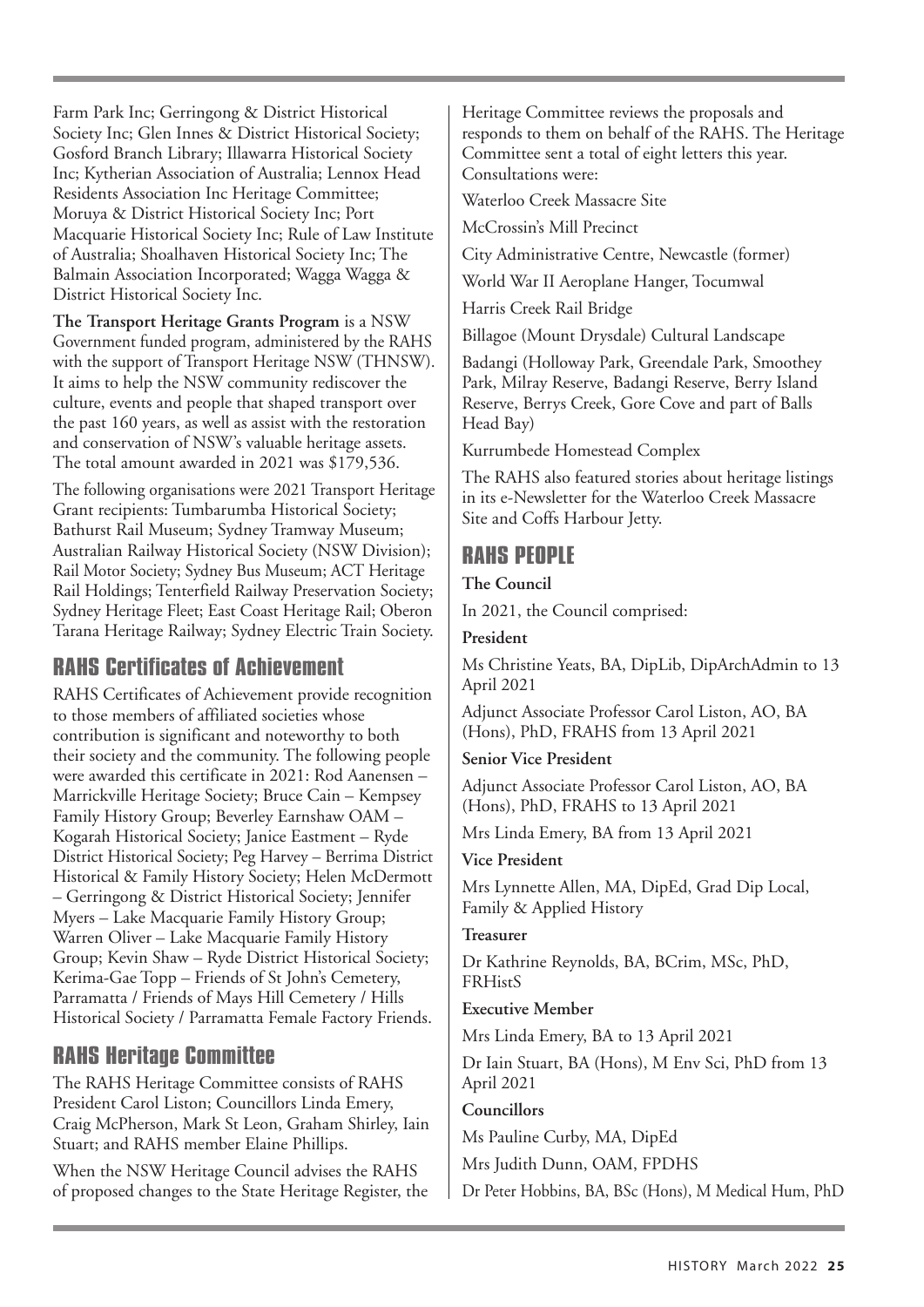Farm Park Inc; Gerringong & District Historical Society Inc; Glen Innes & District Historical Society; Gosford Branch Library; Illawarra Historical Society Inc; Kytherian Association of Australia; Lennox Head Residents Association Inc Heritage Committee; Moruya & District Historical Society Inc; Port Macquarie Historical Society Inc; Rule of Law Institute of Australia; Shoalhaven Historical Society Inc; The Balmain Association Incorporated; Wagga Wagga & District Historical Society Inc.

**The Transport Heritage Grants Program** is a NSW Government funded program, administered by the RAHS with the support of Transport Heritage NSW (THNSW). It aims to help the NSW community rediscover the culture, events and people that shaped transport over the past 160 years, as well as assist with the restoration and conservation of NSW's valuable heritage assets. The total amount awarded in 2021 was \$179,536.

The following organisations were 2021 Transport Heritage Grant recipients: Tumbarumba Historical Society; Bathurst Rail Museum; Sydney Tramway Museum; Australian Railway Historical Society (NSW Division); Rail Motor Society; Sydney Bus Museum; ACT Heritage Rail Holdings; Tenterfield Railway Preservation Society; Sydney Heritage Fleet; East Coast Heritage Rail; Oberon Tarana Heritage Railway; Sydney Electric Train Society.

## **RAHS Certificates of Achievement**

RAHS Certificates of Achievement provide recognition to those members of affiliated societies whose contribution is significant and noteworthy to both their society and the community. The following people were awarded this certificate in 2021: Rod Aanensen – Marrickville Heritage Society; Bruce Cain – Kempsey Family History Group; Beverley Earnshaw OAM – Kogarah Historical Society; Janice Eastment – Ryde District Historical Society; Peg Harvey – Berrima District Historical & Family History Society; Helen McDermott – Gerringong & District Historical Society; Jennifer Myers – Lake Macquarie Family History Group; Warren Oliver – Lake Macquarie Family History Group; Kevin Shaw – Ryde District Historical Society; Kerima-Gae Topp – Friends of St John's Cemetery, Parramatta / Friends of Mays Hill Cemetery / Hills Historical Society / Parramatta Female Factory Friends.

## **RAHS Heritage Committee**

The RAHS Heritage Committee consists of RAHS President Carol Liston; Councillors Linda Emery, Craig McPherson, Mark St Leon, Graham Shirley, Iain Stuart; and RAHS member Elaine Phillips.

When the NSW Heritage Council advises the RAHS of proposed changes to the State Heritage Register, the Heritage Committee reviews the proposals and responds to them on behalf of the RAHS. The Heritage Committee sent a total of eight letters this year. Consultations were:

Waterloo Creek Massacre Site

McCrossin's Mill Precinct

City Administrative Centre, Newcastle (former)

World War II Aeroplane Hanger, Tocumwal

Harris Creek Rail Bridge

Billagoe (Mount Drysdale) Cultural Landscape

Badangi (Holloway Park, Greendale Park, Smoothey Park, Milray Reserve, Badangi Reserve, Berry Island Reserve, Berrys Creek, Gore Cove and part of Balls Head Bay)

Kurrumbede Homestead Complex

The RAHS also featured stories about heritage listings in its e-Newsletter for the Waterloo Creek Massacre Site and Coffs Harbour Jetty.

# **RAHS PEOPLE**

#### **The Council**

In 2021, the Council comprised:

#### **President**

Ms Christine Yeats, BA, DipLib, DipArchAdmin to 13 April 2021

Adjunct Associate Professor Carol Liston, AO, BA (Hons), PhD, FRAHS from 13 April 2021

#### **Senior Vice President**

Adjunct Associate Professor Carol Liston, AO, BA (Hons), PhD, FRAHS to 13 April 2021

Mrs Linda Emery, BA from 13 April 2021

#### **Vice President**

Mrs Lynnette Allen, MA, DipEd, Grad Dip Local, Family & Applied History

#### **Treasurer**

Dr Kathrine Reynolds, BA, BCrim, MSc, PhD, **FRHistS** 

#### **Executive Member**

Mrs Linda Emery, BA to 13 April 2021

Dr Iain Stuart, BA (Hons), M Env Sci, PhD from 13 April 2021

#### **Councillors**

Ms Pauline Curby, MA, DipEd

Mrs Judith Dunn, OAM, FPDHS

Dr Peter Hobbins, BA, BSc (Hons), M Medical Hum, PhD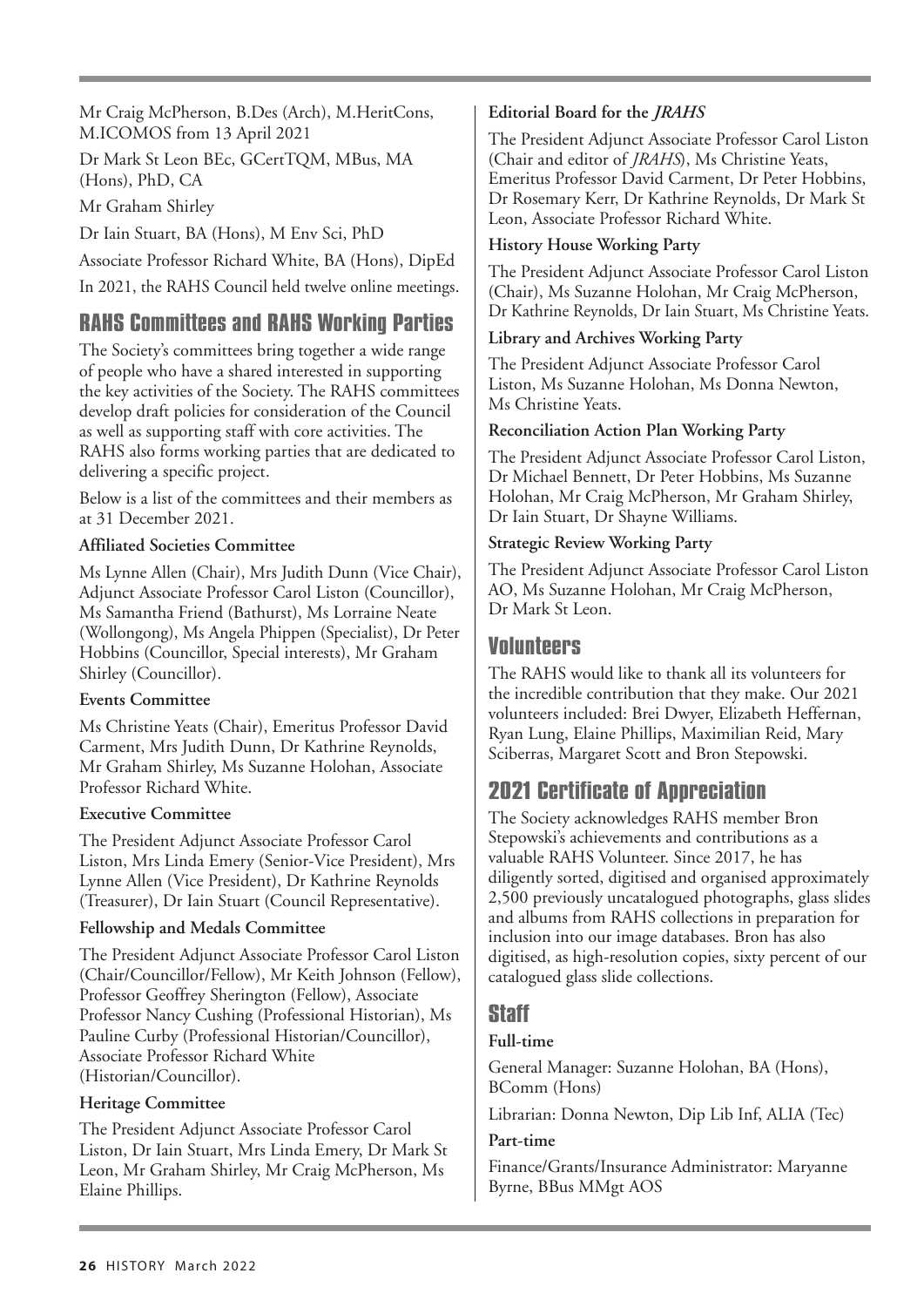Mr Craig McPherson, B.Des (Arch), M.HeritCons, M.ICOMOS from 13 April 2021

Dr Mark St Leon BEc, GCertTQM, MBus, MA (Hons), PhD, CA

Mr Graham Shirley

Dr Iain Stuart, BA (Hons), M Env Sci, PhD

Associate Professor Richard White, BA (Hons), DipEd

In 2021, the RAHS Council held twelve online meetings.

## **RAHS Committees and RAHS Working Parties**

The Society's committees bring together a wide range of people who have a shared interested in supporting the key activities of the Society. The RAHS committees develop draft policies for consideration of the Council as well as supporting staff with core activities. The RAHS also forms working parties that are dedicated to delivering a specific project.

Below is a list of the committees and their members as at 31 December 2021.

#### **Affiliated Societies Committee**

Ms Lynne Allen (Chair), Mrs Judith Dunn (Vice Chair), Adjunct Associate Professor Carol Liston (Councillor), Ms Samantha Friend (Bathurst), Ms Lorraine Neate (Wollongong), Ms Angela Phippen (Specialist), Dr Peter Hobbins (Councillor, Special interests), Mr Graham Shirley (Councillor).

#### **Events Committee**

Ms Christine Yeats (Chair), Emeritus Professor David Carment, Mrs Judith Dunn, Dr Kathrine Reynolds, Mr Graham Shirley, Ms Suzanne Holohan, Associate Professor Richard White.

#### **Executive Committee**

The President Adjunct Associate Professor Carol Liston, Mrs Linda Emery (Senior-Vice President), Mrs Lynne Allen (Vice President), Dr Kathrine Reynolds (Treasurer), Dr Iain Stuart (Council Representative).

#### **Fellowship and Medals Committee**

The President Adjunct Associate Professor Carol Liston (Chair/Councillor/Fellow), Mr Keith Johnson (Fellow), Professor Geoffrey Sherington (Fellow), Associate Professor Nancy Cushing (Professional Historian), Ms Pauline Curby (Professional Historian/Councillor), Associate Professor Richard White (Historian/Councillor).

#### **Heritage Committee**

The President Adjunct Associate Professor Carol Liston, Dr Iain Stuart, Mrs Linda Emery, Dr Mark St Leon, Mr Graham Shirley, Mr Craig McPherson, Ms Elaine Phillips.

### **Editorial Board for the** *JRAHS*

The President Adjunct Associate Professor Carol Liston (Chair and editor of *JRAHS*), Ms Christine Yeats, Emeritus Professor David Carment, Dr Peter Hobbins, Dr Rosemary Kerr, Dr Kathrine Reynolds, Dr Mark St Leon, Associate Professor Richard White.

#### **History House Working Party**

The President Adjunct Associate Professor Carol Liston (Chair), Ms Suzanne Holohan, Mr Craig McPherson, Dr Kathrine Reynolds, Dr Iain Stuart, Ms Christine Yeats.

#### **Library and Archives Working Party**

The President Adjunct Associate Professor Carol Liston, Ms Suzanne Holohan, Ms Donna Newton, Ms Christine Yeats.

#### **Reconciliation Action Plan Working Party**

The President Adjunct Associate Professor Carol Liston, Dr Michael Bennett, Dr Peter Hobbins, Ms Suzanne Holohan, Mr Craig McPherson, Mr Graham Shirley, Dr Iain Stuart, Dr Shayne Williams.

#### **Strategic Review Working Party**

The President Adjunct Associate Professor Carol Liston AO, Ms Suzanne Holohan, Mr Craig McPherson, Dr Mark St Leon.

## Volunteers

The RAHS would like to thank all its volunteers for the incredible contribution that they make. Our 2021 volunteers included: Brei Dwyer, Elizabeth Heffernan, Ryan Lung, Elaine Phillips, Maximilian Reid, Mary Sciberras, Margaret Scott and Bron Stepowski.

## **2021 Certificate of Appreciation**

The Society acknowledges RAHS member Bron Stepowski's achievements and contributions as a valuable RAHS Volunteer. Since 2017, he has diligently sorted, digitised and organised approximately 2,500 previously uncatalogued photographs, glass slides and albums from RAHS collections in preparation for inclusion into our image databases. Bron has also digitised, as high-resolution copies, sixty percent of our catalogued glass slide collections.

## **Staff**

#### **Full-time**

General Manager: Suzanne Holohan, BA (Hons), BComm (Hons)

Librarian: Donna Newton, Dip Lib Inf, ALIA (Tec)

#### **Part-time**

Finance/Grants/Insurance Administrator: Maryanne Byrne, BBus MMgt AOS